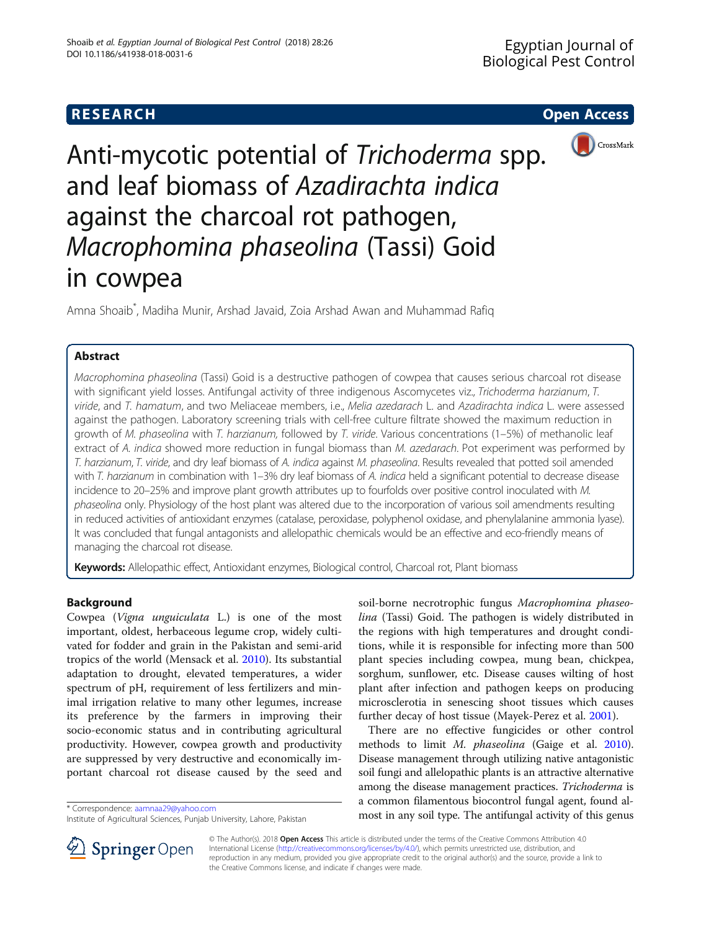

Anti-mycotic potential of Trichoderma spp. and leaf biomass of Azadirachta indica against the charcoal rot pathogen, Macrophomina phaseolina (Tassi) Goid in cowpea

Amna Shoaib\* , Madiha Munir, Arshad Javaid, Zoia Arshad Awan and Muhammad Rafiq

# **Abstract**

Macrophomina phaseolina (Tassi) Goid is a destructive pathogen of cowpea that causes serious charcoal rot disease with significant yield losses. Antifungal activity of three indigenous Ascomycetes viz., Trichoderma harzianum, T. viride, and T. hamatum, and two Meliaceae members, i.e., Melia azedarach L. and Azadirachta indica L. were assessed against the pathogen. Laboratory screening trials with cell-free culture filtrate showed the maximum reduction in growth of M. phaseolina with T. harzianum, followed by T. viride. Various concentrations (1–5%) of methanolic leaf extract of A. indica showed more reduction in fungal biomass than M. azedarach. Pot experiment was performed by T. harzianum, T. viride, and dry leaf biomass of A. indica against M. phaseolina. Results revealed that potted soil amended with T. harzianum in combination with 1–3% dry leaf biomass of A. indica held a significant potential to decrease disease incidence to 20–25% and improve plant growth attributes up to fourfolds over positive control inoculated with M. phaseolina only. Physiology of the host plant was altered due to the incorporation of various soil amendments resulting in reduced activities of antioxidant enzymes (catalase, peroxidase, polyphenol oxidase, and phenylalanine ammonia lyase). It was concluded that fungal antagonists and allelopathic chemicals would be an effective and eco-friendly means of managing the charcoal rot disease.

Keywords: Allelopathic effect, Antioxidant enzymes, Biological control, Charcoal rot, Plant biomass

# Background

Cowpea (Vigna unguiculata L.) is one of the most important, oldest, herbaceous legume crop, widely cultivated for fodder and grain in the Pakistan and semi-arid tropics of the world (Mensack et al. [2010](#page-6-0)). Its substantial adaptation to drought, elevated temperatures, a wider spectrum of pH, requirement of less fertilizers and minimal irrigation relative to many other legumes, increase its preference by the farmers in improving their socio-economic status and in contributing agricultural productivity. However, cowpea growth and productivity are suppressed by very destructive and economically important charcoal rot disease caused by the seed and

soil-borne necrotrophic fungus Macrophomina phaseolina (Tassi) Goid. The pathogen is widely distributed in the regions with high temperatures and drought conditions, while it is responsible for infecting more than 500 plant species including cowpea, mung bean, chickpea, sorghum, sunflower, etc. Disease causes wilting of host plant after infection and pathogen keeps on producing microsclerotia in senescing shoot tissues which causes further decay of host tissue (Mayek-Perez et al. [2001](#page-6-0)).

There are no effective fungicides or other control methods to limit M. phaseolina (Gaige et al. [2010](#page-5-0)). Disease management through utilizing native antagonistic soil fungi and allelopathic plants is an attractive alternative among the disease management practices. Trichoderma is a common filamentous biocontrol fungal agent, found al\* Correspondence: [aamnaa29@yahoo.com](mailto:aamnaa29@yahoo.com)<br>Institute of Agricultural Sciences Punjab University Labore Pakistan **hoord in any soil type. The antifungal activity of this genus** 



© The Author(s). 2018 Open Access This article is distributed under the terms of the Creative Commons Attribution 4.0 International License ([http://creativecommons.org/licenses/by/4.0/\)](http://creativecommons.org/licenses/by/4.0/), which permits unrestricted use, distribution, and reproduction in any medium, provided you give appropriate credit to the original author(s) and the source, provide a link to the Creative Commons license, and indicate if changes were made.

Institute of Agricultural Sciences, Punjab University, Lahore, Pakistan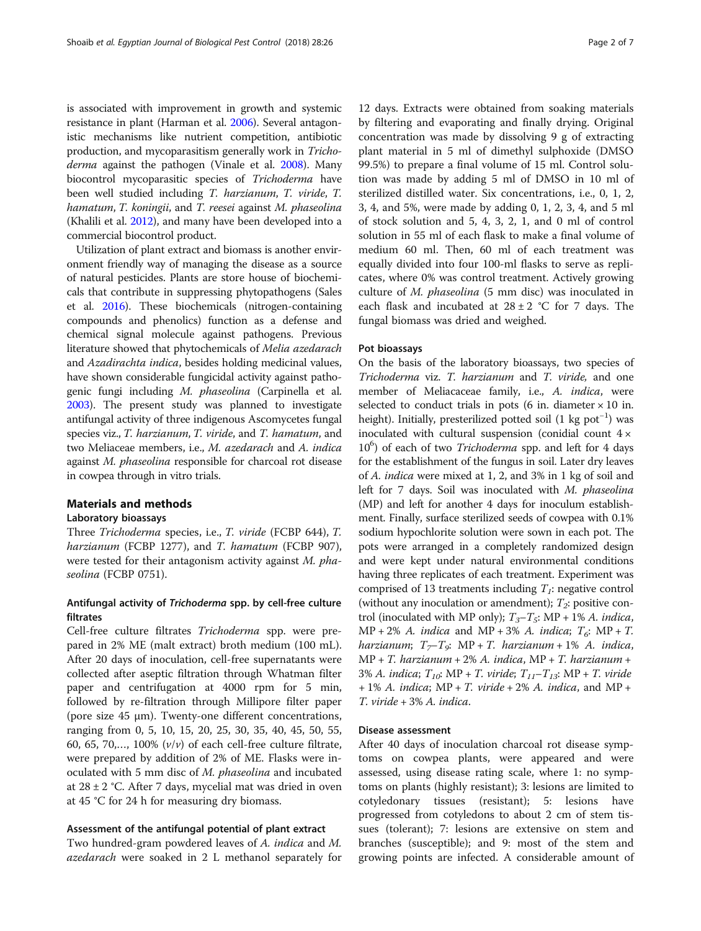is associated with improvement in growth and systemic resistance in plant (Harman et al. [2006\)](#page-5-0). Several antagonistic mechanisms like nutrient competition, antibiotic production, and mycoparasitism generally work in Tricho-derma against the pathogen (Vinale et al. [2008\)](#page-6-0). Many biocontrol mycoparasitic species of Trichoderma have been well studied including T. harzianum, T. viride, T. hamatum, T. koningii, and T. reesei against M. phaseolina (Khalili et al. [2012](#page-6-0)), and many have been developed into a commercial biocontrol product.

Utilization of plant extract and biomass is another environment friendly way of managing the disease as a source of natural pesticides. Plants are store house of biochemicals that contribute in suppressing phytopathogens (Sales et al. [2016](#page-6-0)). These biochemicals (nitrogen-containing compounds and phenolics) function as a defense and chemical signal molecule against pathogens. Previous literature showed that phytochemicals of Melia azedarach and Azadirachta indica, besides holding medicinal values, have shown considerable fungicidal activity against pathogenic fungi including M. phaseolina (Carpinella et al. [2003\)](#page-5-0). The present study was planned to investigate antifungal activity of three indigenous Ascomycetes fungal species viz., T. harzianum, T. viride, and T. hamatum, and two Meliaceae members, i.e., M. azedarach and A. indica against M. phaseolina responsible for charcoal rot disease in cowpea through in vitro trials.

## Materials and methods

# Laboratory bioassays

Three Trichoderma species, i.e., T. viride (FCBP 644), T. harzianum (FCBP 1277), and T. hamatum (FCBP 907), were tested for their antagonism activity against M. phaseolina (FCBP 0751).

# Antifungal activity of Trichoderma spp. by cell-free culture filtrates

Cell-free culture filtrates Trichoderma spp. were prepared in 2% ME (malt extract) broth medium (100 mL). After 20 days of inoculation, cell-free supernatants were collected after aseptic filtration through Whatman filter paper and centrifugation at 4000 rpm for 5 min, followed by re-filtration through Millipore filter paper (pore size 45 μm). Twenty-one different concentrations, ranging from 0, 5, 10, 15, 20, 25, 30, 35, 40, 45, 50, 55, 60, 65, 70,..., 100%  $(v/v)$  of each cell-free culture filtrate, were prepared by addition of 2% of ME. Flasks were inoculated with 5 mm disc of M. phaseolina and incubated at  $28 \pm 2$  °C. After 7 days, mycelial mat was dried in oven at 45 °C for 24 h for measuring dry biomass.

#### Assessment of the antifungal potential of plant extract

Two hundred-gram powdered leaves of A. indica and M. azedarach were soaked in 2 L methanol separately for

12 days. Extracts were obtained from soaking materials by filtering and evaporating and finally drying. Original concentration was made by dissolving 9 g of extracting plant material in 5 ml of dimethyl sulphoxide (DMSO 99.5%) to prepare a final volume of 15 ml. Control solution was made by adding 5 ml of DMSO in 10 ml of sterilized distilled water. Six concentrations, i.e., 0, 1, 2, 3, 4, and 5%, were made by adding 0, 1, 2, 3, 4, and 5 ml of stock solution and 5, 4, 3, 2, 1, and 0 ml of control solution in 55 ml of each flask to make a final volume of medium 60 ml. Then, 60 ml of each treatment was equally divided into four 100-ml flasks to serve as replicates, where 0% was control treatment. Actively growing culture of M. phaseolina (5 mm disc) was inoculated in each flask and incubated at  $28 \pm 2$  °C for 7 days. The fungal biomass was dried and weighed.

#### Pot bioassays

On the basis of the laboratory bioassays, two species of Trichoderma viz. T. harzianum and T. viride, and one member of Meliacaceae family, i.e., A. indica, were selected to conduct trials in pots (6 in. diameter  $\times$  10 in. height). Initially, presterilized potted soil (1 kg pot<sup>-1</sup>) was inoculated with cultural suspension (conidial count  $4 \times$ 10<sup>6</sup>) of each of two Trichoderma spp. and left for 4 days for the establishment of the fungus in soil. Later dry leaves of A. indica were mixed at 1, 2, and 3% in 1 kg of soil and left for 7 days. Soil was inoculated with M. phaseolina (MP) and left for another 4 days for inoculum establishment. Finally, surface sterilized seeds of cowpea with 0.1% sodium hypochlorite solution were sown in each pot. The pots were arranged in a completely randomized design and were kept under natural environmental conditions having three replicates of each treatment. Experiment was comprised of 13 treatments including  $T_i$ : negative control (without any inoculation or amendment);  $T_2$ : positive control (inoculated with MP only);  $T_3 - T_5$ : MP + 1% A. indica,  $MP + 2\%$  A. indica and  $MP + 3\%$  A. indica;  $T_6$ :  $MP + T$ . harzianum;  $T_{\tau}$ T<sub>9</sub>: MP + T. harzianum + 1% A. indica, MP + T. harzianum + 2% A. indica, MP + T. harzianum + 3% A. indica;  $T_{10}$ : MP + T. viride;  $T_{11}-T_{13}$ : MP + T. viride  $+ 1\%$  A. indica; MP + T. viride + 2% A. indica, and MP + T. viride + 3% A. indica.

# Disease assessment

After 40 days of inoculation charcoal rot disease symptoms on cowpea plants, were appeared and were assessed, using disease rating scale, where 1: no symptoms on plants (highly resistant); 3: lesions are limited to cotyledonary tissues (resistant); 5: lesions have progressed from cotyledons to about 2 cm of stem tissues (tolerant); 7: lesions are extensive on stem and branches (susceptible); and 9: most of the stem and growing points are infected. A considerable amount of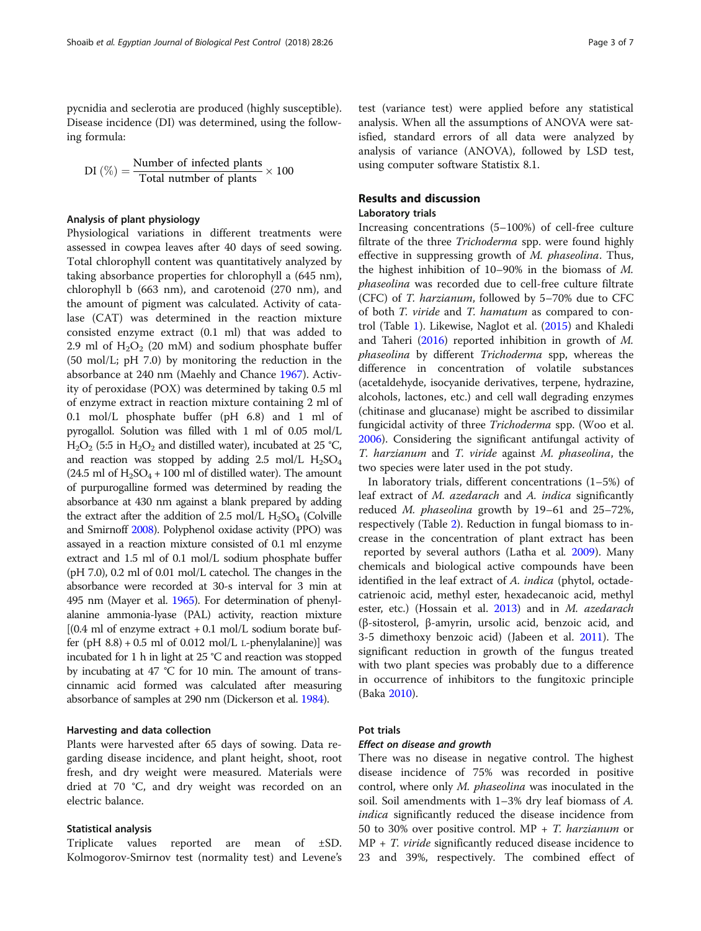pycnidia and seclerotia are produced (highly susceptible). Disease incidence (DI) was determined, using the following formula:

$$
DI\left(\%\right) = \frac{Number of infected plants}{Total number of plants} \times 100
$$

### Analysis of plant physiology

Physiological variations in different treatments were assessed in cowpea leaves after 40 days of seed sowing. Total chlorophyll content was quantitatively analyzed by taking absorbance properties for chlorophyll a (645 nm), chlorophyll b (663 nm), and carotenoid (270 nm), and the amount of pigment was calculated. Activity of catalase (CAT) was determined in the reaction mixture consisted enzyme extract (0.1 ml) that was added to 2.9 ml of  $H_2O_2$  (20 mM) and sodium phosphate buffer (50 mol/L; pH 7.0) by monitoring the reduction in the absorbance at 240 nm (Maehly and Chance [1967](#page-6-0)). Activity of peroxidase (POX) was determined by taking 0.5 ml of enzyme extract in reaction mixture containing 2 ml of 0.1 mol/L phosphate buffer (pH 6.8) and 1 ml of pyrogallol. Solution was filled with 1 ml of 0.05 mol/L  $H_2O_2$  (5:5 in  $H_2O_2$  and distilled water), incubated at 25 °C, and reaction was stopped by adding  $2.5 \text{ mol/L H}_2\text{SO}_4$  $(24.5 \text{ ml of H}_2\text{SO}_4 + 100 \text{ ml of distilled water})$ . The amount of purpurogalline formed was determined by reading the absorbance at 430 nm against a blank prepared by adding the extract after the addition of 2.5 mol/L  $H<sub>2</sub>SO<sub>4</sub>$  (Colville and Smirnoff [2008\)](#page-5-0). Polyphenol oxidase activity (PPO) was assayed in a reaction mixture consisted of 0.1 ml enzyme extract and 1.5 ml of 0.1 mol/L sodium phosphate buffer (pH 7.0), 0.2 ml of 0.01 mol/L catechol. The changes in the absorbance were recorded at 30-s interval for 3 min at 495 nm (Mayer et al. [1965](#page-6-0)). For determination of phenylalanine ammonia-lyase (PAL) activity, reaction mixture  $[(0.4 \text{ ml of enzyme extract} + 0.1 \text{ mol/L sodium borate but}]$ fer (pH  $8.8$ ) + 0.5 ml of 0.012 mol/L L-phenylalanine)] was incubated for 1 h in light at 25 °C and reaction was stopped by incubating at 47 °C for 10 min. The amount of transcinnamic acid formed was calculated after measuring absorbance of samples at 290 nm (Dickerson et al. [1984\)](#page-5-0).

# Harvesting and data collection

Plants were harvested after 65 days of sowing. Data regarding disease incidence, and plant height, shoot, root fresh, and dry weight were measured. Materials were dried at 70 °C, and dry weight was recorded on an electric balance.

#### Statistical analysis

Triplicate values reported are mean of ±SD. Kolmogorov-Smirnov test (normality test) and Levene's test (variance test) were applied before any statistical analysis. When all the assumptions of ANOVA were satisfied, standard errors of all data were analyzed by analysis of variance (ANOVA), followed by LSD test, using computer software Statistix 8.1.

# Results and discussion

# Laboratory trials

Increasing concentrations (5–100%) of cell-free culture filtrate of the three *Trichoderma* spp. were found highly effective in suppressing growth of M. phaseolina. Thus, the highest inhibition of 10–90% in the biomass of M. phaseolina was recorded due to cell-free culture filtrate (CFC) of T. harzianum, followed by 5–70% due to CFC of both T. viride and T. hamatum as compared to control (Table [1](#page-3-0)). Likewise, Naglot et al. ([2015\)](#page-6-0) and Khaledi and Taheri ([2016\)](#page-6-0) reported inhibition in growth of M. phaseolina by different Trichoderma spp, whereas the difference in concentration of volatile substances (acetaldehyde, isocyanide derivatives, terpene, hydrazine, alcohols, lactones, etc.) and cell wall degrading enzymes (chitinase and glucanase) might be ascribed to dissimilar fungicidal activity of three Trichoderma spp. (Woo et al. [2006](#page-6-0)). Considering the significant antifungal activity of T. harzianum and T. viride against M. phaseolina, the two species were later used in the pot study.

In laboratory trials, different concentrations (1–5%) of leaf extract of M. azedarach and A. indica significantly reduced M. phaseolina growth by 19–61 and 25–72%, respectively (Table [2](#page-3-0)). Reduction in fungal biomass to increase in the concentration of plant extract has been reported by several authors (Latha et al. [2009\)](#page-6-0). Many chemicals and biological active compounds have been identified in the leaf extract of A. indica (phytol, octadecatrienoic acid, methyl ester, hexadecanoic acid, methyl ester, etc.) (Hossain et al. [2013\)](#page-5-0) and in M. azedarach (β-sitosterol, β-amyrin, ursolic acid, benzoic acid, and 3-5 dimethoxy benzoic acid) (Jabeen et al. [2011](#page-6-0)). The significant reduction in growth of the fungus treated with two plant species was probably due to a difference in occurrence of inhibitors to the fungitoxic principle (Baka [2010](#page-5-0)).

#### Pot trials

#### Effect on disease and growth

There was no disease in negative control. The highest disease incidence of 75% was recorded in positive control, where only M. phaseolina was inoculated in the soil. Soil amendments with 1–3% dry leaf biomass of A. indica significantly reduced the disease incidence from 50 to 30% over positive control. MP + T. harzianum or  $MP + T$ . *viride* significantly reduced disease incidence to 23 and 39%, respectively. The combined effect of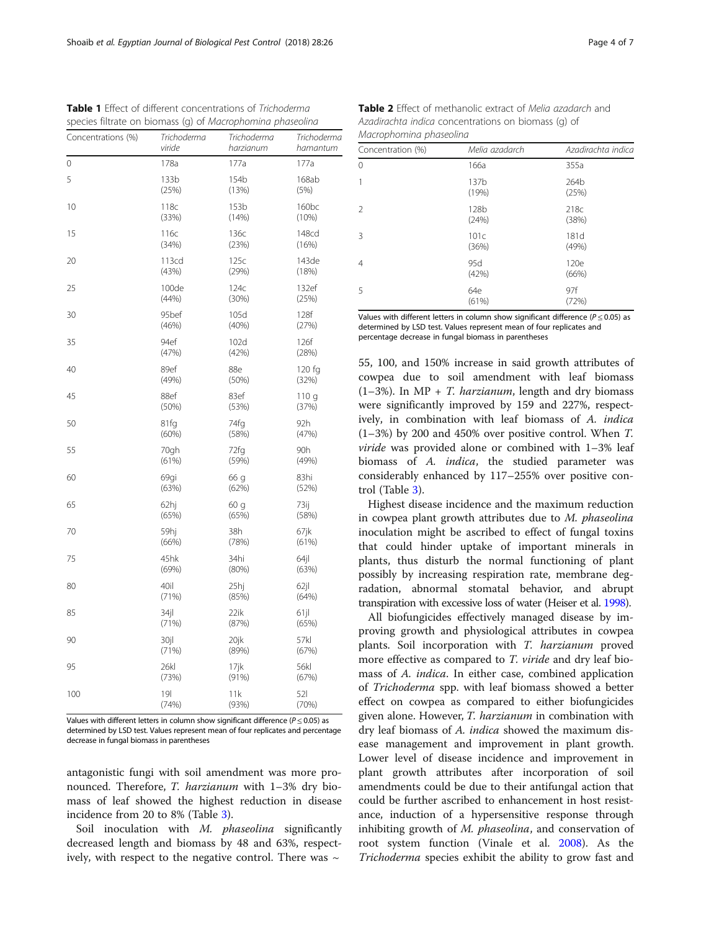| Concentrations (%) | Trichoderma      | Trichoderma | Trichoderma       |
|--------------------|------------------|-------------|-------------------|
|                    | viride           | harzianum   | hamantum          |
| 0                  | 178a             | 177a        | 177a              |
| 5                  | 133 <sub>b</sub> | 154b        | 168ab             |
|                    | (25%)            | (13%)       | (5%)              |
| 10                 | 118c             | 153b        | 160 <sub>bc</sub> |
|                    | (33%)            | (14%)       | (10%)             |
| 15                 | 116с             | 136с        | 148cd             |
|                    | (34%)            | (23%)       | (16%)             |
| 20                 | 113cd            | 125c        | 143de             |
|                    | (43%)            | (29%)       | (18%)             |
| 25                 | 100de            | 124c        | 132ef             |
|                    | (44%)            | (30%)       | (25%)             |
| 30                 | 95bef            | 105d        | 128f              |
|                    | (46%)            | (40%)       | (27%)             |
| 35                 | 94ef             | 102d        | 126f              |
|                    | (47%)            | (42%)       | (28%)             |
| 40                 | 89ef             | 88e         | 120 fg            |
|                    | (49%)            | (50%)       | (32%)             |
| 45                 | 88ef             | 83ef        | 110q              |
|                    | (50%)            | (53%)       | (37%)             |
| 50                 | 81fg             | 74fg        | 92h               |
|                    | (60%)            | (58%)       | (47%)             |
| 55                 | 70gh             | 72fg        | 90h               |
|                    | (61%)            | (59%)       | (49%)             |
| 60                 | 69gi             | 66 g        | 83hi              |
|                    | (63%)            | (62%)       | (52%)             |
| 65                 | 62hi             | 60 g        | 73ij              |
|                    | (65%)            | (65%)       | (58%)             |
| 70                 | 59hi             | 38h         | 67jk              |
|                    | (66%)            | (78%)       | (61%)             |
| 75                 | 45hk             | 34hi        | 64jl              |
|                    | (69%)            | (80%)       | (63%)             |
| 80                 | 40il             | 25hj        | $62$ jl           |
|                    | (71%)            | (85%)       | (64%)             |
| 85                 | $34$ jl          | 22ik        | 61 jl             |
|                    | (71%)            | (87%)       | (65%)             |
| 90                 | 30jl             | 20jk        | 57kl              |
|                    | (71%)            | (89%)       | (67%)             |
| 95                 | 26kl             | 17ik        | 56kl              |
|                    | (73%)            | (91%)       | (67%)             |
| 100                | 19 <sup>l</sup>  | 11k         | 521               |
|                    | (74%)            | (93%)       | (70%)             |

<span id="page-3-0"></span>Table 1 Effect of different concentrations of Trichoderma species filtrate on biomass (g) of Macrophomina phaseolina

Values with different letters in column show significant difference ( $P < 0.05$ ) as determined by LSD test. Values represent mean of four replicates and percentage decrease in fungal biomass in parentheses

antagonistic fungi with soil amendment was more pronounced. Therefore, T. harzianum with 1–3% dry biomass of leaf showed the highest reduction in disease incidence from 20 to 8% (Table [3](#page-4-0)).

Soil inoculation with M. phaseolina significantly decreased length and biomass by 48 and 63%, respectively, with respect to the negative control. There was  $\sim$ 

| Concentration (%) | Melia azadarch | Azadirachta indica |
|-------------------|----------------|--------------------|
| $\Omega$          | 166a           | 355a               |
|                   | 137b<br>(19%)  | 264b<br>(25%)      |
| $\mathcal{P}$     | 128b<br>(24%)  | 218c<br>(38%)      |
| 3                 | 101c<br>(36%)  | 181d<br>(49%)      |
| 4                 | 95d<br>(42%)   | 120e<br>(66%)      |
| 5                 | 64e<br>(61%)   | 97f<br>(72%)       |

Table 2 Effect of methanolic extract of Melia azadarch and Azadirachta indica concentrations on biomass (g) of

Macrophomina phaseolina

Values with different letters in column show significant difference ( $P \le 0.05$ ) as determined by LSD test. Values represent mean of four replicates and percentage decrease in fungal biomass in parentheses

55, 100, and 150% increase in said growth attributes of cowpea due to soil amendment with leaf biomass  $(1-3\%)$ . In MP + T. *harzianum*, length and dry biomass were significantly improved by 159 and 227%, respectively, in combination with leaf biomass of A. indica (1–3%) by 200 and 450% over positive control. When T. viride was provided alone or combined with 1–3% leaf biomass of A. indica, the studied parameter was considerably enhanced by 117–255% over positive control (Table [3](#page-4-0)).

Highest disease incidence and the maximum reduction in cowpea plant growth attributes due to M. phaseolina inoculation might be ascribed to effect of fungal toxins that could hinder uptake of important minerals in plants, thus disturb the normal functioning of plant possibly by increasing respiration rate, membrane degradation, abnormal stomatal behavior, and abrupt transpiration with excessive loss of water (Heiser et al. [1998\)](#page-5-0).

All biofungicides effectively managed disease by improving growth and physiological attributes in cowpea plants. Soil incorporation with T. harzianum proved more effective as compared to T. viride and dry leaf biomass of A. indica. In either case, combined application of Trichoderma spp. with leaf biomass showed a better effect on cowpea as compared to either biofungicides given alone. However, T. harzianum in combination with dry leaf biomass of A. indica showed the maximum disease management and improvement in plant growth. Lower level of disease incidence and improvement in plant growth attributes after incorporation of soil amendments could be due to their antifungal action that could be further ascribed to enhancement in host resistance, induction of a hypersensitive response through inhibiting growth of M. phaseolina, and conservation of root system function (Vinale et al. [2008\)](#page-6-0). As the Trichoderma species exhibit the ability to grow fast and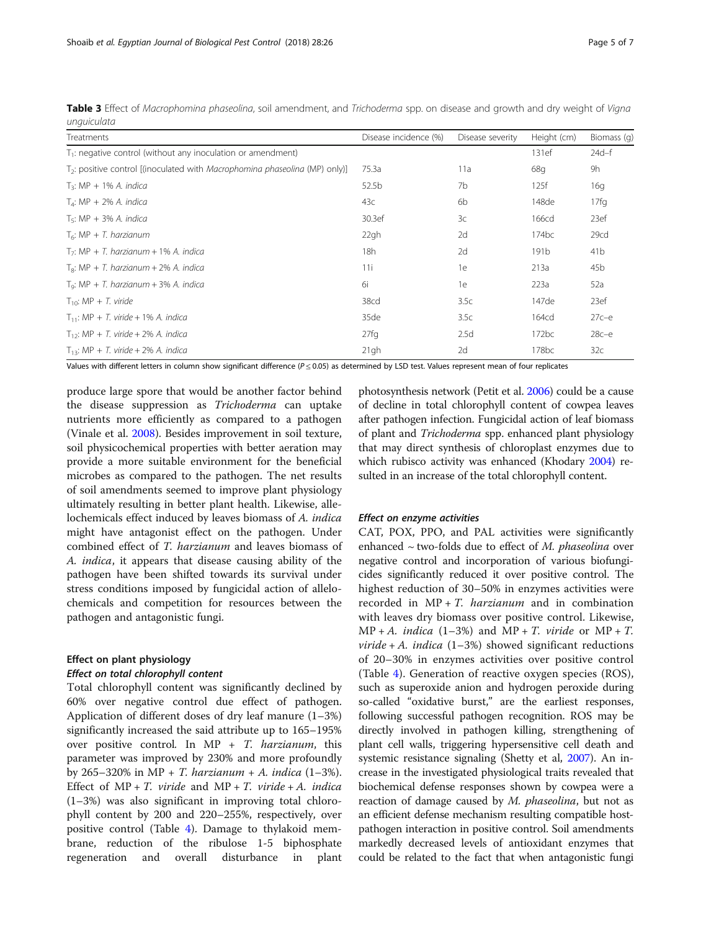| ------------                                                                          |                       |                  |                   |                 |  |  |
|---------------------------------------------------------------------------------------|-----------------------|------------------|-------------------|-----------------|--|--|
| Treatments                                                                            | Disease incidence (%) | Disease severity | Height (cm)       | Biomass (q)     |  |  |
| $T_1$ : negative control (without any inoculation or amendment)                       |                       |                  | 131ef             | $24d - f$       |  |  |
| $T_2$ : positive control [(inoculated with <i>Macrophomina phaseolina</i> (MP) only)] | 75.3a                 | 11a              | 68g               | 9h              |  |  |
| $T_3$ : MP + 1% A. indica                                                             | 52.5b                 | 7b               | 125f              | 16q             |  |  |
| $TA$ : MP + 2% A. indica                                                              | 43c                   | 6b               | 148de             | 17fq            |  |  |
| $T_5$ : MP + 3% A. indica                                                             | 30.3ef                | 3c               | 166cd             | 23ef            |  |  |
| $T_6$ : MP + T. harzianum                                                             | 22gh                  | 2d               | 174bc             | 29cd            |  |  |
| $T_7$ : MP + T. harzianum + 1% A. indica                                              | 18h                   | 2d               | 191 <sub>b</sub>  | 41 <sub>b</sub> |  |  |
| $T_{\rm B}$ : MP + T. harzianum + 2% A. indica                                        | 11i                   | 1e               | 213a              | 45 <sub>b</sub> |  |  |
| $T_9$ : MP + T. harzianum + 3% A. indica                                              | 6i                    | 1e               | 223a              | 52a             |  |  |
| $T_{10}$ : MP + T. viride                                                             | 38cd                  | 3.5c             | 147de             | 23ef            |  |  |
| $T_{11}$ : MP + T. viride + 1% A. indica                                              | 35de                  | 3.5c             | 164cd             | $27c-e$         |  |  |
| $T_{12}$ : MP + T. viride + 2% A. indica                                              | 27fq                  | 2.5d             | 172bc             | $28c - e$       |  |  |
| $T_{13}$ : MP + T. viride + 2% A. indica                                              | 21gh                  | 2d               | 178 <sub>bc</sub> | 32c             |  |  |

<span id="page-4-0"></span>Table 3 Effect of Macrophomina phaseolina, soil amendment, and Trichoderma spp. on disease and growth and dry weight of Vigna unguiculata

Values with different letters in column show significant difference (P ≤ 0.05) as determined by LSD test. Values represent mean of four replicates

produce large spore that would be another factor behind the disease suppression as Trichoderma can uptake nutrients more efficiently as compared to a pathogen (Vinale et al. [2008\)](#page-6-0). Besides improvement in soil texture, soil physicochemical properties with better aeration may provide a more suitable environment for the beneficial microbes as compared to the pathogen. The net results of soil amendments seemed to improve plant physiology ultimately resulting in better plant health. Likewise, allelochemicals effect induced by leaves biomass of A. indica might have antagonist effect on the pathogen. Under combined effect of T. harzianum and leaves biomass of A. indica, it appears that disease causing ability of the pathogen have been shifted towards its survival under stress conditions imposed by fungicidal action of allelochemicals and competition for resources between the pathogen and antagonistic fungi.

# Effect on plant physiology Effect on total chlorophyll content

Total chlorophyll content was significantly declined by 60% over negative control due effect of pathogen. Application of different doses of dry leaf manure (1–3%) significantly increased the said attribute up to 165–195% over positive control. In MP + T. harzianum, this parameter was improved by 230% and more profoundly by 265–320% in MP + *T. harzianum* + *A. indica*  $(1-3\%)$ . Effect of  $MP + T$ . viride and  $MP + T$ . viride + A. indica (1–3%) was also significant in improving total chlorophyll content by 200 and 220–255%, respectively, over positive control (Table [4](#page-5-0)). Damage to thylakoid membrane, reduction of the ribulose 1-5 biphosphate regeneration and overall disturbance in plant

photosynthesis network (Petit et al. [2006](#page-6-0)) could be a cause of decline in total chlorophyll content of cowpea leaves after pathogen infection. Fungicidal action of leaf biomass of plant and Trichoderma spp. enhanced plant physiology that may direct synthesis of chloroplast enzymes due to which rubisco activity was enhanced (Khodary [2004\)](#page-6-0) resulted in an increase of the total chlorophyll content.

#### Effect on enzyme activities

CAT, POX, PPO, and PAL activities were significantly enhanced  $\sim$  two-folds due to effect of M. phaseolina over negative control and incorporation of various biofungicides significantly reduced it over positive control. The highest reduction of 30–50% in enzymes activities were recorded in  $MP + T$ . *harzianum* and in combination with leaves dry biomass over positive control. Likewise,  $MP + A$ . *indica* (1–3%) and  $MP + T$ . *viride* or  $MP + T$ . *viride* + A. *indica*  $(1-3\%)$  showed significant reductions of 20–30% in enzymes activities over positive control (Table [4](#page-5-0)). Generation of reactive oxygen species (ROS), such as superoxide anion and hydrogen peroxide during so-called "oxidative burst," are the earliest responses, following successful pathogen recognition. ROS may be directly involved in pathogen killing, strengthening of plant cell walls, triggering hypersensitive cell death and systemic resistance signaling (Shetty et al, [2007\)](#page-6-0). An increase in the investigated physiological traits revealed that biochemical defense responses shown by cowpea were a reaction of damage caused by M. phaseolina, but not as an efficient defense mechanism resulting compatible hostpathogen interaction in positive control. Soil amendments markedly decreased levels of antioxidant enzymes that could be related to the fact that when antagonistic fungi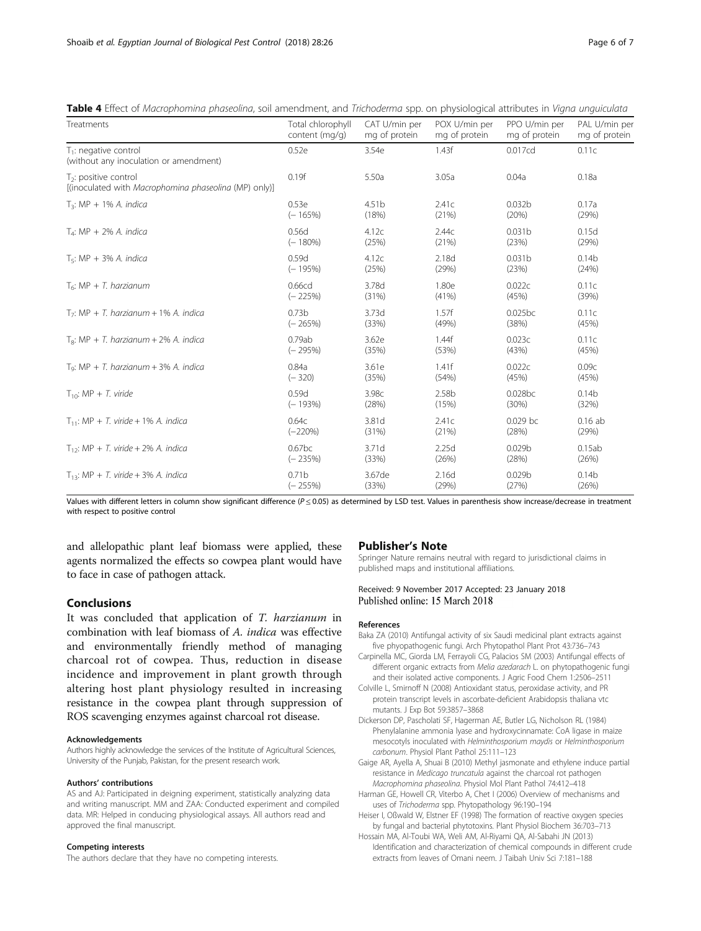| Treatments                                                                       | Total chlorophyll | CAT U/min per     | POX U/min per | PPO U/min per      | PAL U/min per     |
|----------------------------------------------------------------------------------|-------------------|-------------------|---------------|--------------------|-------------------|
|                                                                                  | content (mg/g)    | mg of protein     | mg of protein | mg of protein      | mg of protein     |
| $T_1$ : negative control<br>(without any inoculation or amendment)               | 0.52e             | 3.54e             | 1.43f         | 0.017cd            | 0.11c             |
| $T2$ : positive control<br>[(inoculated with Macrophomina phaseolina (MP) only)] | 0.19f             | 5.50a             | 3.05a         | 0.04a              | 0.18a             |
| $T_3$ : MP + 1% A. indica                                                        | 0.53e             | 4.51 <sub>b</sub> | 2.41c         | 0.032 <sub>b</sub> | 0.17a             |
|                                                                                  | $(-165%)$         | (18%)             | (21%)         | (20%)              | (29%)             |
| $T_4$ : MP + 2% A. indica                                                        | 0.56d             | 4.12c             | 2.44c         | 0.031 <sub>b</sub> | 0.15d             |
|                                                                                  | $(-180%)$         | (25%)             | (21%)         | (23%)              | (29%)             |
| $T_5$ : MP + 3% A. indica                                                        | 0.59d             | 4.12c             | 2.18d         | 0.031 <sub>b</sub> | 0.14 <sub>b</sub> |
|                                                                                  | $(-195%)$         | (25%)             | (29%)         | (23%)              | (24%)             |
| $T_6$ : MP + T. harzianum                                                        | 0.66cd            | 3.78d             | 1.80e         | 0.022c             | 0.11c             |
|                                                                                  | $(-225%)$         | (31%)             | (41%)         | (45%)              | (39%)             |
| $T_7$ : MP + T. harzianum + 1% A. indica                                         | 0.73 <sub>b</sub> | 3.73d             | 1.57f         | 0.025bc            | 0.11c             |
|                                                                                  | $(-265%)$         | (33%)             | (49%)         | (38%)              | (45%)             |
| $T_{\rm B}$ : MP + T. harzianum + 2% A. indica                                   | 0.79ab            | 3.62e             | 1.44f         | 0.023c             | 0.11c             |
|                                                                                  | $(-295%)$         | (35%)             | (53%)         | (43%)              | (45%)             |
| $Tq: MP + T. harzianum + 3% A. indica$                                           | 0.84a             | 3.61e             | 1.41f         | 0.022c             | 0.09c             |
|                                                                                  | $(-320)$          | (35%)             | (54%)         | (45%)              | (45%)             |
| $T_{10}$ : MP + T. viride                                                        | 0.59d             | 3.98c             | 2.58b         | 0.028bc            | 0.14 <sub>b</sub> |
|                                                                                  | $(-193%)$         | (28%)             | (15%)         | (30%)              | (32%)             |
| $T_{11}$ : MP + T. viride + 1% A. indica                                         | 0.64c             | 3.81d             | 2.41c         | $0.029$ bc         | $0.16$ ab         |
|                                                                                  | $(-220%)$         | (31%)             | (21%)         | (28%)              | (29%)             |
| $T_{12}$ : MP + T. viride + 2% A. indica                                         | 0.67bc            | 3.71d             | 2.25d         | 0.029b             | 0.15ab            |
|                                                                                  | $(-235%)$         | (33%)             | (26%)         | (28%)              | (26%)             |
| $T_{13}$ : MP + T. viride + 3% A. indica                                         | 0.71 <sub>b</sub> | 3.67de            | 2.16d         | 0.029 <sub>b</sub> | 0.14 <sub>b</sub> |
|                                                                                  | $(-255%)$         | (33%)             | (29%)         | (27%)              | (26%)             |

<span id="page-5-0"></span>Table 4 Effect of Macrophomina phaseolina, soil amendment, and Trichoderma spp. on physiological attributes in Vigna unquiculata

Values with different letters in column show significant difference ( $P \le 0.05$ ) as determined by LSD test. Values in parenthesis show increase/decrease in treatment with respect to positive control

and allelopathic plant leaf biomass were applied, these agents normalized the effects so cowpea plant would have to face in case of pathogen attack.

It was concluded that application of T. harzianum in combination with leaf biomass of A. indica was effective and environmentally friendly method of managing charcoal rot of cowpea. Thus, reduction in disease incidence and improvement in plant growth through altering host plant physiology resulted in increasing resistance in the cowpea plant through suppression of ROS scavenging enzymes against charcoal rot disease.

#### Acknowledgements

Conclusions

Authors highly acknowledge the services of the Institute of Agricultural Sciences, University of the Punjab, Pakistan, for the present research work.

#### Authors' contributions

AS and AJ: Participated in deigning experiment, statistically analyzing data and writing manuscript. MM and ZAA: Conducted experiment and compiled data. MR: Helped in conducing physiological assays. All authors read and approved the final manuscript.

## Competing interests

The authors declare that they have no competing interests.

# Publisher's Note

Springer Nature remains neutral with regard to jurisdictional claims in published maps and institutional affiliations.

## Received: 9 November 2017 Accepted: 23 January 2018 Published online: 15 March 2018

#### References

- Baka ZA (2010) Antifungal activity of six Saudi medicinal plant extracts against five phyopathogenic fungi. Arch Phytopathol Plant Prot 43:736–743
- Carpinella MC, Giorda LM, Ferrayoli CG, Palacios SM (2003) Antifungal effects of different organic extracts from Melia azedarach L. on phytopathogenic fungi and their isolated active components. J Agric Food Chem 1:2506–2511
- Colville L, Smirnoff N (2008) Antioxidant status, peroxidase activity, and PR protein transcript levels in ascorbate-deficient Arabidopsis thaliana vtc mutants. J Exp Bot 59:3857–3868
- Dickerson DP, Pascholati SF, Hagerman AE, Butler LG, Nicholson RL (1984) Phenylalanine ammonia lyase and hydroxycinnamate: CoA ligase in maize mesocotyls inoculated with Helminthosporium maydis or Helminthosporium carbonum. Physiol Plant Pathol 25:111–123
- Gaige AR, Ayella A, Shuai B (2010) Methyl jasmonate and ethylene induce partial resistance in Medicago truncatula against the charcoal rot pathogen Macrophomina phaseolina. Physiol Mol Plant Pathol 74:412–418
- Harman GE, Howell CR, Viterbo A, Chet I (2006) Overview of mechanisms and uses of Trichoderma spp. Phytopathology 96:190–194
- Heiser I, Oßwald W, Elstner EF (1998) The formation of reactive oxygen species by fungal and bacterial phytotoxins. Plant Physiol Biochem 36:703–713
- Hossain MA, Al-Toubi WA, Weli AM, Al-Riyami QA, Al-Sabahi JN (2013) Identification and characterization of chemical compounds in different crude extracts from leaves of Omani neem. J Taibah Univ Sci 7:181–188